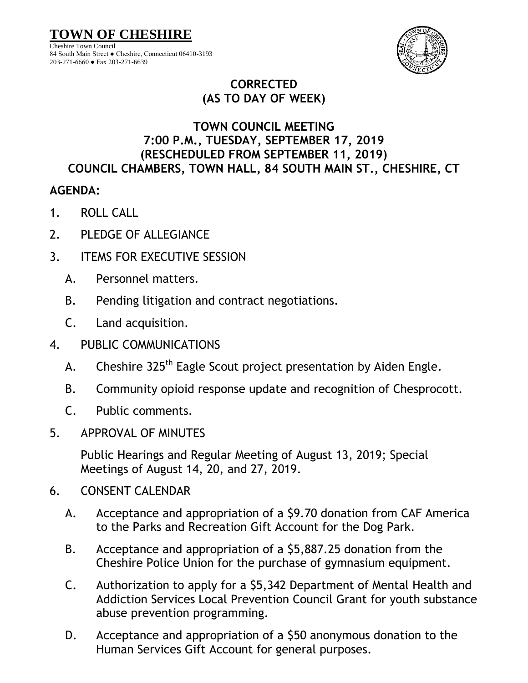**TOWN OF CHESHIRE**

Cheshire Town Council 84 South Main Street ● Cheshire, Connecticut 06410-3193 203-271-6660 ● Fax 203-271-6639



## **CORRECTED (AS TO DAY OF WEEK)**

## **TOWN COUNCIL MEETING 7:00 P.M., TUESDAY, SEPTEMBER 17, 2019 (RESCHEDULED FROM SEPTEMBER 11, 2019) COUNCIL CHAMBERS, TOWN HALL, 84 SOUTH MAIN ST., CHESHIRE, CT**

## **AGENDA:**

- 1. ROLL CALL
- 2. PLEDGE OF ALLEGIANCE
- 3. ITEMS FOR EXECUTIVE SESSION
	- A. Personnel matters.
	- B. Pending litigation and contract negotiations.
	- C. Land acquisition.
- 4. PUBLIC COMMUNICATIONS
	- A. Cheshire 325<sup>th</sup> Eagle Scout project presentation by Aiden Engle.
	- B. Community opioid response update and recognition of Chesprocott.
	- C. Public comments.
- 5. APPROVAL OF MINUTES

Public Hearings and Regular Meeting of August 13, 2019; Special Meetings of August 14, 20, and 27, 2019.

- 6. CONSENT CALENDAR
	- A. Acceptance and appropriation of a \$9.70 donation from CAF America to the Parks and Recreation Gift Account for the Dog Park.
	- B. Acceptance and appropriation of a \$5,887.25 donation from the Cheshire Police Union for the purchase of gymnasium equipment.
	- C. Authorization to apply for a \$5,342 Department of Mental Health and Addiction Services Local Prevention Council Grant for youth substance abuse prevention programming.
	- D. Acceptance and appropriation of a \$50 anonymous donation to the Human Services Gift Account for general purposes.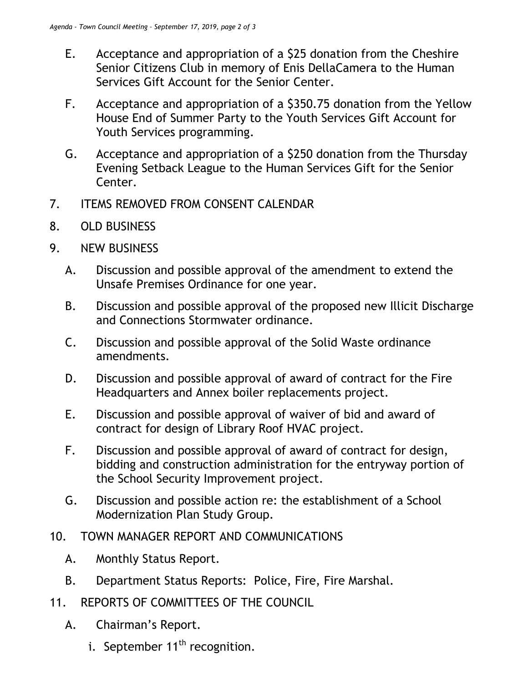- E. Acceptance and appropriation of a \$25 donation from the Cheshire Senior Citizens Club in memory of Enis DellaCamera to the Human Services Gift Account for the Senior Center.
- F. Acceptance and appropriation of a \$350.75 donation from the Yellow House End of Summer Party to the Youth Services Gift Account for Youth Services programming.
- G. Acceptance and appropriation of a \$250 donation from the Thursday Evening Setback League to the Human Services Gift for the Senior Center.
- 7. ITEMS REMOVED FROM CONSENT CALENDAR
- 8. OLD BUSINESS
- 9. NEW BUSINESS
	- A. Discussion and possible approval of the amendment to extend the Unsafe Premises Ordinance for one year.
	- B. Discussion and possible approval of the proposed new Illicit Discharge and Connections Stormwater ordinance.
	- C. Discussion and possible approval of the Solid Waste ordinance amendments.
	- D. Discussion and possible approval of award of contract for the Fire Headquarters and Annex boiler replacements project.
	- E. Discussion and possible approval of waiver of bid and award of contract for design of Library Roof HVAC project.
	- F. Discussion and possible approval of award of contract for design, bidding and construction administration for the entryway portion of the School Security Improvement project.
	- G. Discussion and possible action re: the establishment of a School Modernization Plan Study Group.
- 10. TOWN MANAGER REPORT AND COMMUNICATIONS
	- A. Monthly Status Report.
	- B. Department Status Reports: Police, Fire, Fire Marshal.
- 11. REPORTS OF COMMITTEES OF THE COUNCIL
	- A. Chairman's Report.
		- i. September  $11<sup>th</sup>$  recognition.